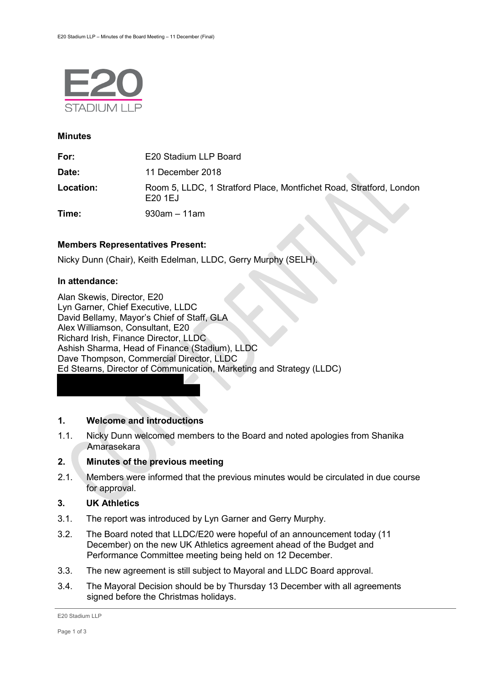

#### **Minutes**

| For:      | E20 Stadium LLP Board                                                         |
|-----------|-------------------------------------------------------------------------------|
| Date:     | 11 December 2018                                                              |
| Location: | Room 5, LLDC, 1 Stratford Place, Montfichet Road, Stratford, London<br>E201EJ |
| Time:     | $930$ am – 11am                                                               |

# **Members Representatives Present:**

Nicky Dunn (Chair), Keith Edelman, LLDC, Gerry Murphy (SELH).

# **In attendance:**

Alan Skewis, Director, E20 Lyn Garner, Chief Executive, LLDC David Bellamy, Mayor's Chief of Staff, GLA Alex Williamson, Consultant, E20 Richard Irish, Finance Director, LLDC Ashish Sharma, Head of Finance (Stadium), LLDC Dave Thompson, Commercial Director, LLDC Ed Stearns, Director of Communication, Marketing and Strategy (LLDC)

# **1. Welcome and introductions**

1.1. Nicky Dunn welcomed members to the Board and noted apologies from Shanika Amarasekara

# **2. Minutes of the previous meeting**

2.1. Members were informed that the previous minutes would be circulated in due course for approval.

# **3. UK Athletics**

- 3.1. The report was introduced by Lyn Garner and Gerry Murphy.
- 3.2. The Board noted that LLDC/E20 were hopeful of an announcement today (11 December) on the new UK Athletics agreement ahead of the Budget and Performance Committee meeting being held on 12 December.
- 3.3. The new agreement is still subject to Mayoral and LLDC Board approval.
- 3.4. The Mayoral Decision should be by Thursday 13 December with all agreements signed before the Christmas holidays.

E20 Stadium LLP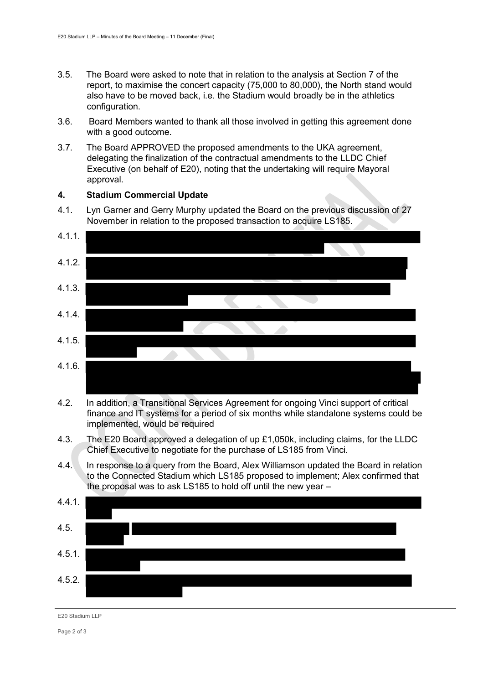- 3.5. The Board were asked to note that in relation to the analysis at Section 7 of the report, to maximise the concert capacity (75,000 to 80,000), the North stand would also have to be moved back, i.e. the Stadium would broadly be in the athletics configuration.
- 3.6. Board Members wanted to thank all those involved in getting this agreement done with a good outcome.
- 3.7. The Board APPROVED the proposed amendments to the UKA agreement, delegating the finalization of the contractual amendments to the LLDC Chief Executive (on behalf of E20), noting that the undertaking will require Mayoral approval.

# **4. Stadium Commercial Update**

4.1. Lyn Garner and Gerry Murphy updated the Board on the previous discussion of 27 November in relation to the proposed transaction to acquire LS185.



- 4.2. In addition, a Transitional Services Agreement for ongoing Vinci support of critical finance and IT systems for a period of six months while standalone systems could be implemented, would be required
- 4.3. The E20 Board approved a delegation of up £1,050k, including claims, for the LLDC Chief Executive to negotiate for the purchase of LS185 from Vinci.
- 4.4. In response to a query from the Board, Alex Williamson updated the Board in relation to the Connected Stadium which LS185 proposed to implement; Alex confirmed that the proposal was to ask LS185 to hold off until the new year –



E20 Stadium LLP